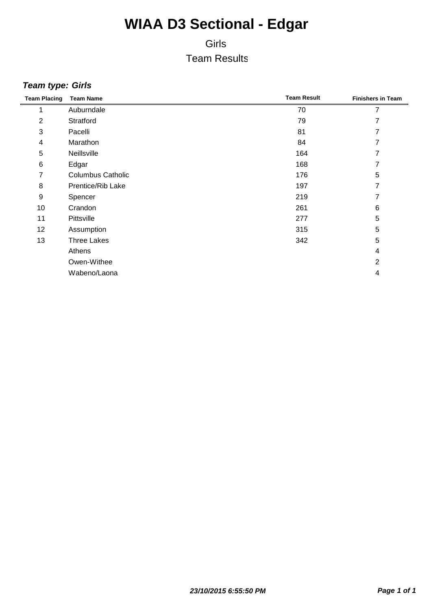### Girls Team Results

#### *Team type: Girls*

| <b>Team Placing</b> | <b>Team Name</b>         | <b>Team Result</b> | <b>Finishers in Team</b> |
|---------------------|--------------------------|--------------------|--------------------------|
|                     | Auburndale               | 70                 | 7                        |
| $\overline{2}$      | Stratford                | 79                 | 7                        |
| 3                   | Pacelli                  | 81                 | 7                        |
| 4                   | Marathon                 | 84                 | 7                        |
| 5                   | Neillsville              | 164                | 7                        |
| $\,6$               | Edgar                    | 168                | 7                        |
| 7                   | <b>Columbus Catholic</b> | 176                | 5                        |
| 8                   | Prentice/Rib Lake        | 197                | 7                        |
| $\boldsymbol{9}$    | Spencer                  | 219                | 7                        |
| 10                  | Crandon                  | 261                | 6                        |
| 11                  | Pittsville               | 277                | 5                        |
| 12                  | Assumption               | 315                | 5                        |
| 13                  | <b>Three Lakes</b>       | 342                | 5                        |
|                     | Athens                   |                    | 4                        |
|                     | Owen-Withee              |                    | $\overline{2}$           |
|                     | Wabeno/Laona             |                    | 4                        |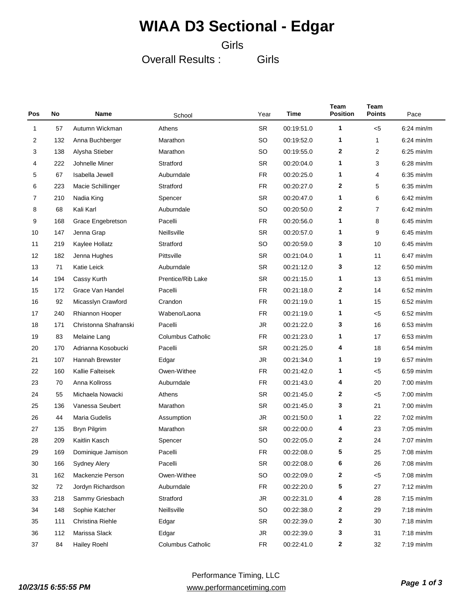#### Girls

Overall Results :

Girls

| Pos | No  | Name                  | School                   | Year      | Time       | Team<br><b>Position</b> | Team<br><b>Points</b> | Pace                 |
|-----|-----|-----------------------|--------------------------|-----------|------------|-------------------------|-----------------------|----------------------|
| 1   | 57  | Autumn Wickman        | Athens                   | <b>SR</b> | 00:19:51.0 | 1                       | $5$                   | $6:24$ min/m         |
| 2   | 132 | Anna Buchberger       | Marathon                 | <b>SO</b> | 00:19:52.0 | 1                       | 1                     | $6:24$ min/m         |
| 3   | 138 | Alysha Stieber        | Marathon                 | <b>SO</b> | 00:19:55.0 | $\mathbf{2}$            | $\overline{c}$        | $6:25$ min/m         |
| 4   | 222 | Johnelle Miner        | Stratford                | <b>SR</b> | 00:20:04.0 | 1                       | 3                     | $6:28$ min/m         |
| 5   | 67  | Isabella Jewell       | Auburndale               | <b>FR</b> | 00:20:25.0 | 1                       | 4                     | $6:35$ min/m         |
| 6   | 223 | Macie Schillinger     | Stratford                | <b>FR</b> | 00:20:27.0 | $\mathbf{2}$            | 5                     | $6:35$ min/m         |
| 7   | 210 | Nadia King            | Spencer                  | <b>SR</b> | 00:20:47.0 | 1                       | 6                     | $6:42$ min/m         |
| 8   | 68  | Kali Karl             | Auburndale               | <b>SO</b> | 00:20:50.0 | $\mathbf{2}$            | 7                     | $6:42$ min/m         |
| 9   | 168 | Grace Engebretson     | Pacelli                  | <b>FR</b> | 00:20:56.0 | 1                       | 8                     | $6:45$ min/m         |
| 10  | 147 | Jenna Grap            | Neillsville              | <b>SR</b> | 00:20:57.0 | 1                       | 9                     | $6:45$ min/m         |
| 11  | 219 | Kaylee Hollatz        | Stratford                | <b>SO</b> | 00:20:59.0 | 3                       | 10                    | $6:45$ min/m         |
| 12  | 182 | Jenna Hughes          | Pittsville               | <b>SR</b> | 00:21:04.0 | 1                       | 11                    | $6:47$ min/m         |
| 13  | 71  | Katie Leick           | Auburndale               | <b>SR</b> | 00:21:12.0 | 3                       | 12                    | $6:50$ min/m         |
| 14  | 194 | Cassy Kurth           | Prentice/Rib Lake        | <b>SR</b> | 00:21:15.0 | 1                       | 13                    | $6:51$ min/m         |
| 15  | 172 | Grace Van Handel      | Pacelli                  | <b>FR</b> | 00:21:18.0 | $\mathbf{2}$            | 14                    | $6:52$ min/m         |
| 16  | 92  | Micasslyn Crawford    | Crandon                  | <b>FR</b> | 00:21:19.0 | 1                       | 15                    | $6:52$ min/m         |
| 17  | 240 | Rhiannon Hooper       | Wabeno/Laona             | FR        | 00:21:19.0 | 1                       | < 5                   | $6:52$ min/m         |
| 18  | 171 | Christonna Shafranski | Pacelli                  | <b>JR</b> | 00:21:22.0 | 3                       | 16                    | $6:53$ min/m         |
| 19  | 83  | Melaine Lang          | <b>Columbus Catholic</b> | <b>FR</b> | 00:21:23.0 | 1                       | 17                    | $6:53$ min/m         |
| 20  | 170 | Adrianna Kosobucki    | Pacelli                  | <b>SR</b> | 00:21:25.0 | 4                       | 18                    | $6:54$ min/m         |
| 21  | 107 | Hannah Brewster       | Edgar                    | <b>JR</b> | 00:21:34.0 | 1                       | 19                    | $6:57$ min/m         |
| 22  | 160 | Kallie Falteisek      | Owen-Withee              | <b>FR</b> | 00:21:42.0 | 1                       | < 5                   | $6:59$ min/m         |
| 23  | 70  | Anna Kollross         | Auburndale               | FR        | 00:21:43.0 | 4                       | 20                    | $7:00$ min/m         |
| 24  | 55  | Michaela Nowacki      | Athens                   | <b>SR</b> | 00:21:45.0 | $\mathbf{2}$            | < 5                   | $7:00$ min/m         |
| 25  | 136 | Vanessa Seubert       | Marathon                 | <b>SR</b> | 00:21:45.0 | 3                       | 21                    | $7:00$ min/m         |
| 26  | 44  | Maria Gudelis         | Assumption               | <b>JR</b> | 00:21:50.0 | 1                       | 22                    | $7:02$ min/m         |
| 27  | 135 | Bryn Pilgrim          | Marathon                 | <b>SR</b> | 00:22:00.0 | 4                       | 23                    | $7:05$ min/m         |
| 28  | 209 | Kaitlin Kasch         | Spencer                  | <b>SO</b> | 00:22:05.0 | 2                       | 24                    | $7:07$ min/m         |
| 29  | 169 | Dominique Jamison     | Pacelli                  | FR        | 00:22:08.0 | 5                       | 25                    | 7:08 min/m           |
| 30  | 166 | <b>Sydney Alery</b>   | Pacelli                  | SR        | 00:22:08.0 | 6                       | 26                    | $7:08$ min/m         |
| 31  | 162 | Mackenzie Person      | Owen-Withee              | SO        | 00:22:09.0 | $\mathbf{2}$            | $< 5$                 | $7:08$ min/m         |
| 32  | 72  | Jordyn Richardson     | Auburndale               | <b>FR</b> | 00:22:20.0 | 5                       | 27                    | $7:12 \text{ min/m}$ |
| 33  | 218 | Sammy Griesbach       | Stratford                | JR        | 00:22:31.0 | 4                       | 28                    | $7:15$ min/m         |
| 34  | 148 | Sophie Katcher        | Neillsville              | <b>SO</b> | 00:22:38.0 | $\mathbf{2}$            | 29                    | $7:18$ min/m         |
| 35  | 111 | Christina Riehle      | Edgar                    | SR        | 00:22:39.0 | $\mathbf{2}$            | 30                    | $7:18$ min/m         |
| 36  | 112 | Marissa Slack         | Edgar                    | JR        | 00:22:39.0 | 3                       | 31                    | $7:18$ min/m         |
| 37  | 84  | <b>Hailey Roehl</b>   | Columbus Catholic        | FR        | 00:22:41.0 | 2                       | 32                    | $7:19$ min/m         |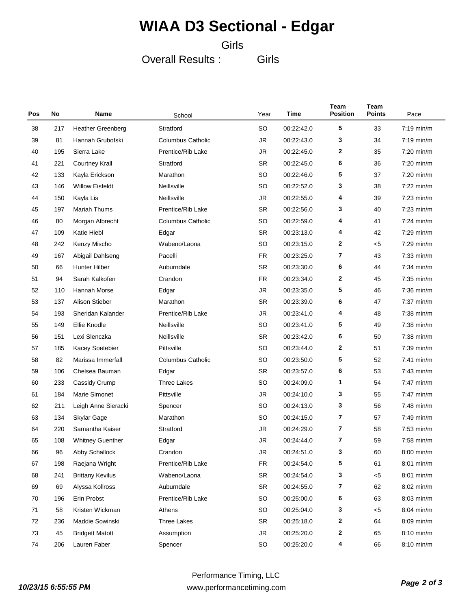#### Girls

Overall Results :

Girls

| Pos | No  | Name                     | School                   | Year      | Time       | Team<br><b>Position</b> | Team<br><b>Points</b> | Pace                 |
|-----|-----|--------------------------|--------------------------|-----------|------------|-------------------------|-----------------------|----------------------|
| 38  | 217 | <b>Heather Greenberg</b> | Stratford                | SO        | 00:22:42.0 | 5                       | 33                    | $7:19$ min/m         |
| 39  | 81  | Hannah Grubofski         | <b>Columbus Catholic</b> | <b>JR</b> | 00:22:43.0 | 3                       | 34                    | $7:19$ min/m         |
| 40  | 195 | Sierra Lake              | Prentice/Rib Lake        | <b>JR</b> | 00:22:45.0 | $\mathbf{2}$            | 35                    | $7:20$ min/m         |
| 41  | 221 | <b>Courtney Krall</b>    | Stratford                | <b>SR</b> | 00:22:45.0 | 6                       | 36                    | $7:20$ min/m         |
| 42  | 133 | Kayla Erickson           | Marathon                 | <b>SO</b> | 00:22:46.0 | 5                       | 37                    | $7:20$ min/m         |
| 43  | 146 | <b>Willow Eisfeldt</b>   | Neillsville              | SO        | 00:22:52.0 | 3                       | 38                    | $7:22 \text{ min/m}$ |
| 44  | 150 | Kayla Lis                | Neillsville              | JR        | 00:22:55.0 | 4                       | 39                    | $7:23$ min/m         |
| 45  | 197 | Mariah Thums             | Prentice/Rib Lake        | <b>SR</b> | 00:22:56.0 | 3                       | 40                    | $7:23$ min/m         |
| 46  | 80  | Morgan Albrecht          | <b>Columbus Catholic</b> | <b>SO</b> | 00:22:59.0 | 4                       | 41                    | $7:24$ min/m         |
| 47  | 109 | Katie Hiebl              | Edgar                    | <b>SR</b> | 00:23:13.0 | 4                       | 42                    | $7:29$ min/m         |
| 48  | 242 | Kenzy Mischo             | Wabeno/Laona             | <b>SO</b> | 00:23:15.0 | $\mathbf{2}$            | $5$                   | $7:29$ min/m         |
| 49  | 167 | Abigail Dahlseng         | Pacelli                  | <b>FR</b> | 00:23:25.0 | 7                       | 43                    | $7:33$ min/m         |
| 50  | 66  | <b>Hunter Hilber</b>     | Auburndale               | <b>SR</b> | 00:23:30.0 | 6                       | 44                    | $7:34$ min/m         |
| 51  | 94  | Sarah Kalkofen           | Crandon                  | <b>FR</b> | 00:23:34.0 | $\mathbf{2}$            | 45                    | $7:35$ min/m         |
| 52  | 110 | Hannah Morse             | Edgar                    | <b>JR</b> | 00:23:35.0 | 5                       | 46                    | $7:36$ min/m         |
| 53  | 137 | <b>Alison Stieber</b>    | Marathon                 | <b>SR</b> | 00:23:39.0 | 6                       | 47                    | $7:37$ min/m         |
| 54  | 193 | Sheridan Kalander        | Prentice/Rib Lake        | JR        | 00:23:41.0 | 4                       | 48                    | $7:38$ min/m         |
| 55  | 149 | Ellie Knodle             | Neillsville              | SO        | 00:23:41.0 | 5                       | 49                    | $7:38$ min/m         |
| 56  | 151 | Lexi Slenczka            | Neillsville              | <b>SR</b> | 00:23:42.0 | 6                       | 50                    | $7:38$ min/m         |
| 57  | 185 | <b>Kacey Soetebier</b>   | Pittsville               | SO        | 00:23:44.0 | $\mathbf{2}$            | 51                    | $7:39$ min/m         |
| 58  | 82  | Marissa Immerfall        | <b>Columbus Catholic</b> | <b>SO</b> | 00:23:50.0 | 5                       | 52                    | $7:41$ min/m         |
| 59  | 106 | Chelsea Bauman           | Edgar                    | <b>SR</b> | 00:23:57.0 | 6                       | 53                    | $7:43$ min/m         |
| 60  | 233 | Cassidy Crump            | Three Lakes              | <b>SO</b> | 00:24:09.0 | 1                       | 54                    | $7:47$ min/m         |
| 61  | 184 | Marie Simonet            | Pittsville               | JR        | 00:24:10.0 | 3                       | 55                    | $7:47$ min/m         |
| 62  | 211 | Leigh Anne Sieracki      | Spencer                  | SO        | 00:24:13.0 | 3                       | 56                    | $7:48$ min/m         |
| 63  | 134 | Skylar Gage              | Marathon                 | SO        | 00:24:15.0 | 7                       | 57                    | $7:49$ min/m         |
| 64  | 220 | Samantha Kaiser          | Stratford                | JR        | 00:24:29.0 | 7                       | 58                    | $7:53$ min/m         |
| 65  | 108 | <b>Whitney Guenther</b>  | Edgar                    | JR        | 00:24:44.0 | 7                       | 59                    | $7:58$ min/m         |
| 66  | 96  | Abby Schallock           | Crandon                  | JR        | 00:24:51.0 | 3                       | 60                    | $8:00$ min/m         |
| 67  | 198 | Raejana Wright           | Prentice/Rib Lake        | <b>FR</b> | 00:24:54.0 | 5                       | 61                    | $8:01$ min/m         |
| 68  | 241 | <b>Brittany Kevilus</b>  | Wabeno/Laona             | SR        | 00:24:54.0 | 3                       | < 5                   | $8:01$ min/m         |
| 69  | 69  | Alyssa Kollross          | Auburndale               | SR        | 00:24:55.0 | 7                       | 62                    | $8:02$ min/m         |
| 70  | 196 | Erin Probst              | Prentice/Rib Lake        | SO        | 00:25:00.0 | 6                       | 63                    | 8:03 min/m           |
| 71  | 58  | Kristen Wickman          | Athens                   | SO        | 00:25:04.0 | 3                       | $5$                   | $8:04$ min/m         |
| 72  | 236 | Maddie Sowinski          | <b>Three Lakes</b>       | SR        | 00:25:18.0 | 2                       | 64                    | $8:09$ min/m         |
| 73  | 45  | <b>Bridgett Matott</b>   | Assumption               | <b>JR</b> | 00:25:20.0 | 2                       | 65                    | 8:10 min/m           |
| 74  | 206 | Lauren Faber             | Spencer                  | SO        | 00:25:20.0 | 4                       | 66                    | 8:10 min/m           |